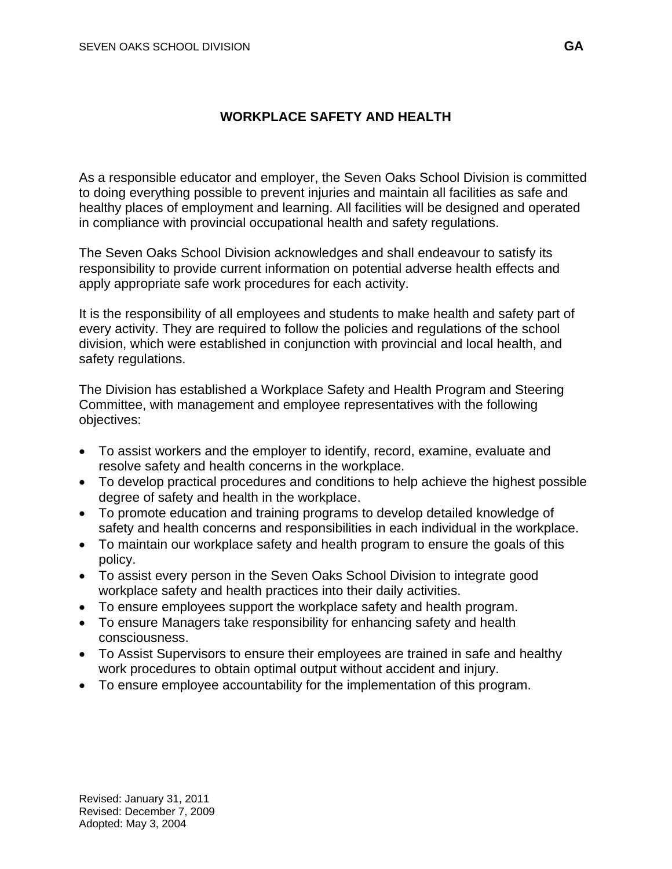## **WORKPLACE SAFETY AND HEALTH**

As a responsible educator and employer, the Seven Oaks School Division is committed to doing everything possible to prevent injuries and maintain all facilities as safe and healthy places of employment and learning. All facilities will be designed and operated in compliance with provincial occupational health and safety regulations.

The Seven Oaks School Division acknowledges and shall endeavour to satisfy its responsibility to provide current information on potential adverse health effects and apply appropriate safe work procedures for each activity.

It is the responsibility of all employees and students to make health and safety part of every activity. They are required to follow the policies and regulations of the school division, which were established in conjunction with provincial and local health, and safety regulations.

The Division has established a Workplace Safety and Health Program and Steering Committee, with management and employee representatives with the following objectives:

- To assist workers and the employer to identify, record, examine, evaluate and resolve safety and health concerns in the workplace.
- To develop practical procedures and conditions to help achieve the highest possible degree of safety and health in the workplace.
- To promote education and training programs to develop detailed knowledge of safety and health concerns and responsibilities in each individual in the workplace.
- To maintain our workplace safety and health program to ensure the goals of this policy.
- To assist every person in the Seven Oaks School Division to integrate good workplace safety and health practices into their daily activities.
- To ensure employees support the workplace safety and health program.
- To ensure Managers take responsibility for enhancing safety and health consciousness.
- To Assist Supervisors to ensure their employees are trained in safe and healthy work procedures to obtain optimal output without accident and injury.
- To ensure employee accountability for the implementation of this program.